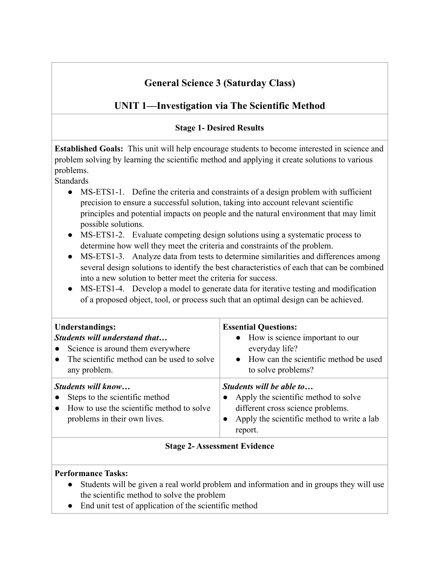# **General Science 3 (Saturday Class)**

# **UNIT 1—Investigation via The Scientific Method**

## **Stage 1- Desired Results**

**Established Goals:** This unit will help encourage students to become interested in science and problem solving by learning the scientific method and applying it create solutions to various problems.

**Standards** 

- MS-ETS1-1. Define the criteria and constraints of a design problem with sufficient precision to ensure a successful solution, taking into account relevant scientific principles and potential impacts on people and the natural environment that may limit possible solutions.
- MS-ETS1-2. Evaluate competing design solutions using a systematic process to determine how well they meet the criteria and constraints of the problem.
- MS-ETS1-3. Analyze data from tests to determine similarities and differences among several design solutions to identify the best characteristics of each that can be combined into a new solution to better meet the criteria for success.
- MS-ETS1-4. Develop a model to generate data for iterative testing and modification of a proposed object, tool, or process such that an optimal design can be achieved.

| <b>Understandings:</b>                                                                                                            | <b>Essential Questions:</b>                                                                                                                                    |
|-----------------------------------------------------------------------------------------------------------------------------------|----------------------------------------------------------------------------------------------------------------------------------------------------------------|
| Students will understand that                                                                                                     | • How is science important to our                                                                                                                              |
| Science is around them everywhere                                                                                                 | everyday life?                                                                                                                                                 |
| The scientific method can be used to solve                                                                                        | • How can the scientific method be used                                                                                                                        |
| any problem.                                                                                                                      | to solve problems?                                                                                                                                             |
| Students will know<br>Steps to the scientific method<br>How to use the scientific method to solve<br>problems in their own lives. | Students will be able to<br>Apply the scientific method to solve<br>different cross science problems.<br>Apply the scientific method to write a lab<br>report. |

## **Stage 2- Assessment Evidence**

## **Performance Tasks:**

- Students will be given a real world problem and information and in groups they will use the scientific method to solve the problem
- End unit test of application of the scientific method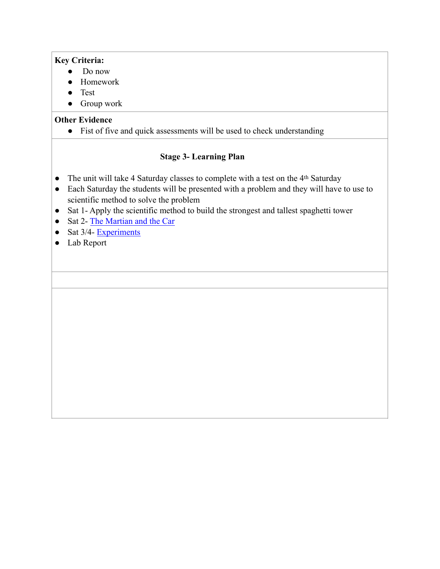#### **Key Criteria:**

- Do now
- Homework
- Test
- Group work

## **Other Evidence**

● Fist of five and quick assessments will be used to check understanding

- The unit will take 4 Saturday classes to complete with a test on the 4<sup>th</sup> Saturday
- Each Saturday the students will be presented with a problem and they will have to use to scientific method to solve the problem
- Sat 1- Apply the scientific method to build the strongest and tallest spaghetti tower
- Sat 2- [The Martian and the Car](https://www.biologycorner.com/worksheets/martian.html)
- Sat  $3/4$  Experiments
- Lab Report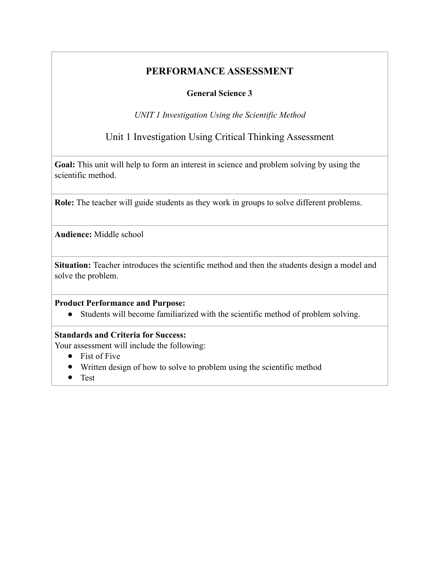## **General Science 3**

*UNIT 1 Investigation Using the Scientific Method* 

## Unit 1 Investigation Using Critical Thinking Assessment

**Goal:** This unit will help to form an interest in science and problem solving by using the scientific method.

**Role:** The teacher will guide students as they work in groups to solve different problems.

**Audience:** Middle school

Situation: Teacher introduces the scientific method and then the students design a model and solve the problem.

#### **Product Performance and Purpose:**

● Students will become familiarized with the scientific method of problem solving.

#### **Standards and Criteria for Success:**

Your assessment will include the following:

- Fist of Five
- Written design of how to solve to problem using the scientific method
- Test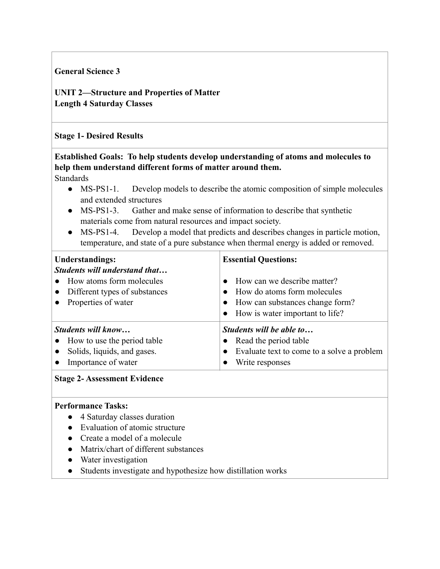#### **General Science 3**

**UNIT 2—Structure and Properties of Matter Length 4 Saturday Classes** 

#### **Stage 1- Desired Results**

# **Established Goals: To help students develop understanding of atoms and molecules to help them understand different forms of matter around them.**

Standards

- MS-PS1-1. Develop models to describe the atomic composition of simple molecules and extended structures
- MS-PS1-3. Gather and make sense of information to describe that synthetic materials come from natural resources and impact society.
- MS-PS1-4. Develop a model that predicts and describes changes in particle motion, temperature, and state of a pure substance when thermal energy is added or removed.

| <b>Understandings:</b><br>Students will understand that<br>How atoms form molecules<br>• Different types of substances<br>• Properties of water | <b>Essential Questions:</b><br>How can we describe matter?<br>$\bullet$<br>How do atoms form molecules<br>• How can substances change form?<br>How is water important to life?<br>$\bullet$ |
|-------------------------------------------------------------------------------------------------------------------------------------------------|---------------------------------------------------------------------------------------------------------------------------------------------------------------------------------------------|
| Students will know                                                                                                                              | Students will be able to                                                                                                                                                                    |
| • How to use the period table                                                                                                                   | • Read the period table                                                                                                                                                                     |
| Solids, liquids, and gases.                                                                                                                     | Evaluate text to come to a solve a problem                                                                                                                                                  |
| Importance of water                                                                                                                             | Write responses                                                                                                                                                                             |

#### **Stage 2- Assessment Evidence**

#### **Performance Tasks:**

- 4 Saturday classes duration
- Evaluation of atomic structure
- Create a model of a molecule
- Matrix/chart of different substances
- Water investigation
- Students investigate and hypothesize how distillation works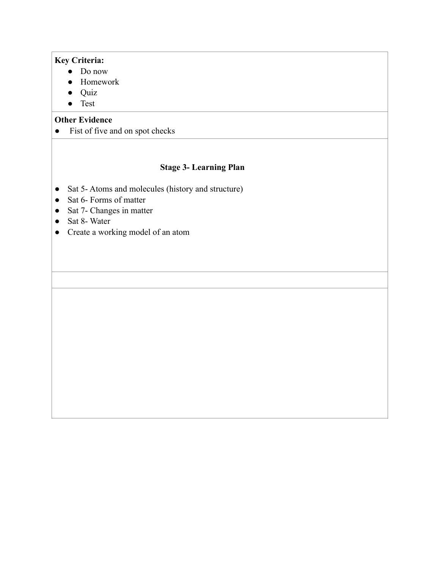#### **Key Criteria:**

- Do now
- Homework
- Quiz
- Test

#### **Other Evidence**

• Fist of five and on spot checks

- Sat 5- Atoms and molecules (history and structure)
- Sat 6- Forms of matter
- Sat 7- Changes in matter
- Sat 8-Water
- Create a working model of an atom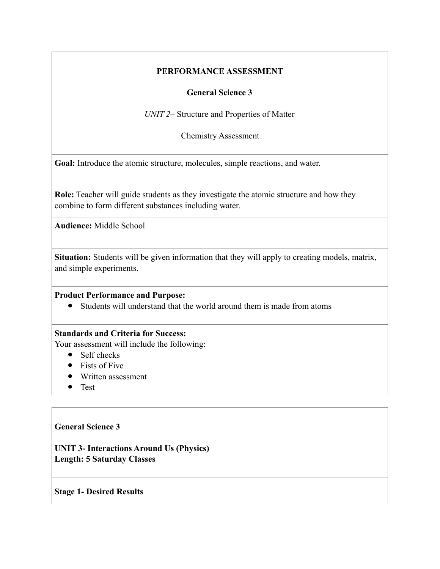#### **General Science 3**

*UNIT 2–* Structure and Properties of Matter

Chemistry Assessment

**Goal:** Introduce the atomic structure, molecules, simple reactions, and water.

**Role:** Teacher will guide students as they investigate the atomic structure and how they combine to form different substances including water.

**Audience:** Middle School

**Situation:** Students will be given information that they will apply to creating models, matrix, and simple experiments.

#### **Product Performance and Purpose:**

● Students will understand that the world around them is made from atoms

#### **Standards and Criteria for Success:**

Your assessment will include the following:

- Self checks
- Fists of Five
- Written assessment
- Test

#### **General Science 3**

**UNIT 3- Interactions Around Us (Physics) Length: 5 Saturday Classes** 

#### **Stage 1- Desired Results**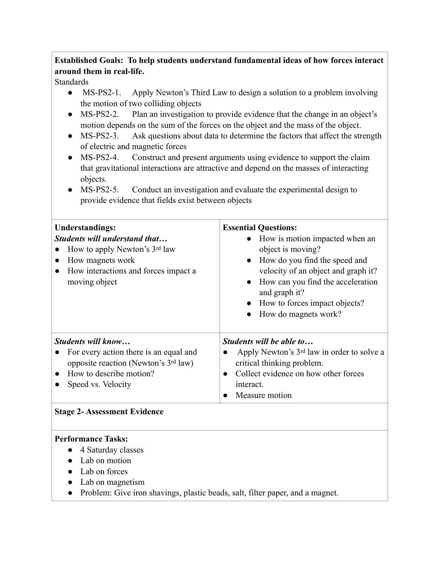## **Established Goals: To help students understand fundamental ideas of how forces interact around them in real-life.**

**Standards** 

- MS-PS2-1. Apply Newton's Third Law to design a solution to a problem involving the motion of two colliding objects
- MS-PS2-2. Plan an investigation to provide evidence that the change in an object's motion depends on the sum of the forces on the object and the mass of the object.
- MS-PS2-3. Ask questions about data to determine the factors that affect the strength of electric and magnetic forces
- MS-PS2-4. Construct and present arguments using evidence to support the claim that gravitational interactions are attractive and depend on the masses of interacting objects.
- MS-PS2-5. Conduct an investigation and evaluate the experimental design to provide evidence that fields exist between objects

| <b>Understandings:</b><br>Students will understand that<br>How to apply Newton's 3rd law<br>How magnets work<br>How interactions and forces impact a<br>moving object | <b>Essential Questions:</b><br>How is motion impacted when an<br>object is moving?<br>How do you find the speed and<br>$\bullet$<br>velocity of an object and graph it?<br>How can you find the acceleration<br>$\bullet$<br>and graph it?<br>How to forces impact objects?<br>How do magnets work? |
|-----------------------------------------------------------------------------------------------------------------------------------------------------------------------|-----------------------------------------------------------------------------------------------------------------------------------------------------------------------------------------------------------------------------------------------------------------------------------------------------|
| Students will know<br>For every action there is an equal and<br>opposite reaction (Newton's 3rd law)<br>How to describe motion?<br>Speed vs. Velocity                 | Students will be able to<br>Apply Newton's 3 <sup>rd</sup> law in order to solve a<br>critical thinking problem.<br>Collect evidence on how other forces<br>interact.<br>Measure motion                                                                                                             |

#### **Stage 2- Assessment Evidence**

#### **Performance Tasks:**

- 4 Saturday classes
- Lab on motion
- Lab on forces
- Lab on magnetism
- Problem: Give iron shavings, plastic beads, salt, filter paper, and a magnet.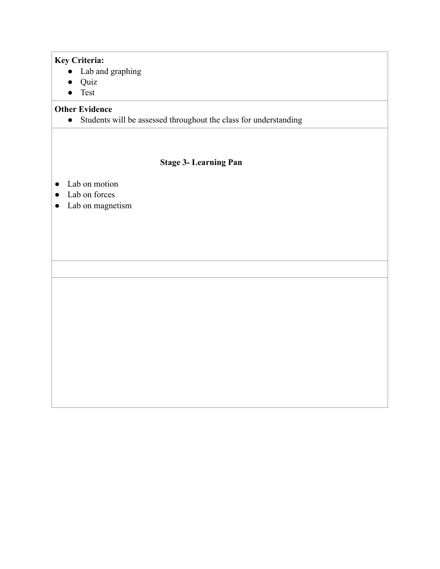#### **Key Criteria:**

- Lab and graphing
- Quiz
- Test

## **Other Evidence**

● Students will be assessed throughout the class for understanding

- Lab on motion
- Lab on forces
- Lab on magnetism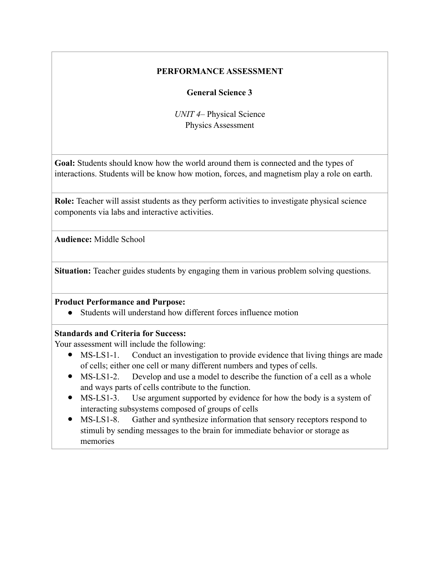#### **General Science 3**

*UNIT 4–* Physical Science Physics Assessment

**Goal:** Students should know how the world around them is connected and the types of interactions. Students will be know how motion, forces, and magnetism play a role on earth.

**Role:** Teacher will assist students as they perform activities to investigate physical science components via labs and interactive activities.

**Audience:** Middle School

**Situation:** Teacher guides students by engaging them in various problem solving questions.

#### **Product Performance and Purpose:**

● Students will understand how different forces influence motion

## **Standards and Criteria for Success:**

Your assessment will include the following:

- MS-LS1-1. Conduct an investigation to provide evidence that living things are made of cells; either one cell or many different numbers and types of cells.
- MS-LS1-2. Develop and use a model to describe the function of a cell as a whole and ways parts of cells contribute to the function.
- MS-LS1-3. Use argument supported by evidence for how the body is a system of interacting subsystems composed of groups of cells
- MS-LS1-8. Gather and synthesize information that sensory receptors respond to stimuli by sending messages to the brain for immediate behavior or storage as memories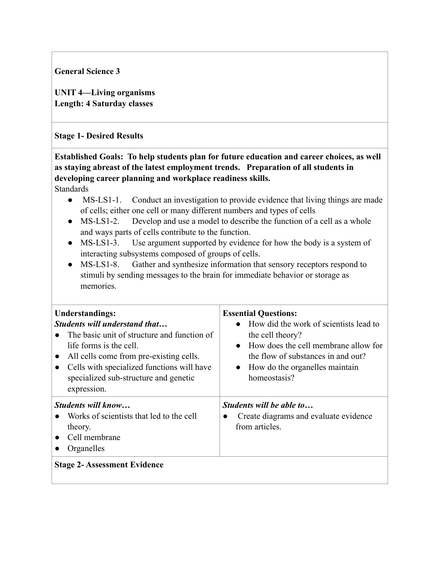**General Science 3** 

**UNIT 4—Living organisms Length: 4 Saturday classes** 

## **Stage 1- Desired Results**

**Established Goals: To help students plan for future education and career choices, as well as staying abreast of the latest employment trends. Preparation of all students in developing career planning and workplace readiness skills.**  Standards

- MS-LS1-1. Conduct an investigation to provide evidence that living things are made of cells; either one cell or many different numbers and types of cells
- MS-LS1-2. Develop and use a model to describe the function of a cell as a whole and ways parts of cells contribute to the function.
- MS-LS1-3. Use argument supported by evidence for how the body is a system of interacting subsystems composed of groups of cells.
- MS-LS1-8. Gather and synthesize information that sensory receptors respond to stimuli by sending messages to the brain for immediate behavior or storage as memories.

| <b>Understandings:</b><br><b>Students will understand that</b><br>The basic unit of structure and function of<br>life forms is the cell.<br>All cells come from pre-existing cells.<br>$\bullet$<br>Cells with specialized functions will have<br>$\bullet$<br>specialized sub-structure and genetic<br>expression. | <b>Essential Questions:</b><br>How did the work of scientists lead to<br>$\bullet$<br>the cell theory?<br>How does the cell membrane allow for<br>$\bullet$<br>the flow of substances in and out?<br>• How do the organelles maintain<br>homeostasis? |
|---------------------------------------------------------------------------------------------------------------------------------------------------------------------------------------------------------------------------------------------------------------------------------------------------------------------|-------------------------------------------------------------------------------------------------------------------------------------------------------------------------------------------------------------------------------------------------------|
| <i>Students will know</i><br>Works of scientists that led to the cell<br>theory.<br>Cell membrane<br>$\bullet$<br>Organelles<br><b>Stage 2- Assessment Evidence</b>                                                                                                                                                 | Students will be able to<br>Create diagrams and evaluate evidence<br>from articles.                                                                                                                                                                   |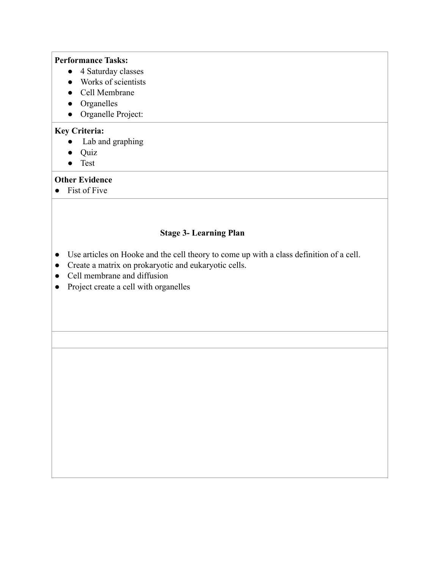#### **Performance Tasks:**

- 4 Saturday classes
- Works of scientists
- Cell Membrane
- Organelles
- Organelle Project:

#### **Key Criteria:**

- Lab and graphing
- Quiz
- Test

## **Other Evidence**

● Fist of Five

- Use articles on Hooke and the cell theory to come up with a class definition of a cell.
- Create a matrix on prokaryotic and eukaryotic cells.
- Cell membrane and diffusion
- Project create a cell with organelles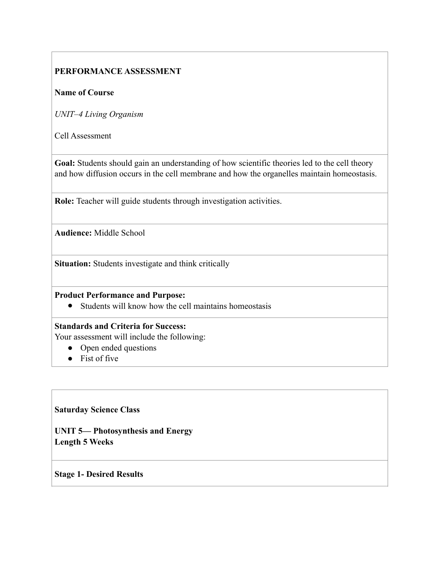#### **Name of Course**

*UNIT–4 Living Organism* 

Cell Assessment

Goal: Students should gain an understanding of how scientific theories led to the cell theory and how diffusion occurs in the cell membrane and how the organelles maintain homeostasis.

**Role:** Teacher will guide students through investigation activities.

**Audience:** Middle School

**Situation:** Students investigate and think critically

#### **Product Performance and Purpose:**

● Students will know how the cell maintains homeostasis

#### **Standards and Criteria for Success:**

Your assessment will include the following:

- Open ended questions
- Fist of five

#### **Saturday Science Class**

**UNIT 5— Photosynthesis and Energy Length 5 Weeks** 

#### **Stage 1- Desired Results**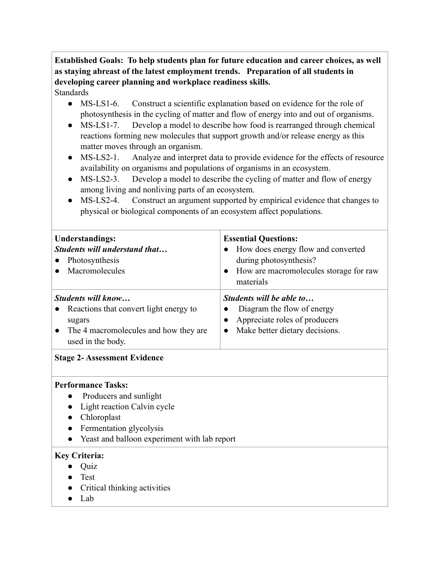# **Established Goals: To help students plan for future education and career choices, as well as staying abreast of the latest employment trends. Preparation of all students in developing career planning and workplace readiness skills.**

## Standards

- MS-LS1-6. Construct a scientific explanation based on evidence for the role of photosynthesis in the cycling of matter and flow of energy into and out of organisms.
- MS-LS1-7. Develop a model to describe how food is rearranged through chemical reactions forming new molecules that support growth and/or release energy as this matter moves through an organism.
- MS-LS2-1. Analyze and interpret data to provide evidence for the effects of resource availability on organisms and populations of organisms in an ecosystem.
- MS-LS2-3. Develop a model to describe the cycling of matter and flow of energy among living and nonliving parts of an ecosystem.
- MS-LS2-4. Construct an argument supported by empirical evidence that changes to physical or biological components of an ecosystem affect populations.

| <b>Understandings:</b><br><b>Students will understand that</b><br>Photosynthesis<br>Macromolecules                                                                           | <b>Essential Questions:</b><br>How does energy flow and converted<br>during photosynthesis?<br>How are macromolecules storage for raw<br>$\bullet$<br>materials |  |
|------------------------------------------------------------------------------------------------------------------------------------------------------------------------------|-----------------------------------------------------------------------------------------------------------------------------------------------------------------|--|
| Students will know<br>Reactions that convert light energy to<br>sugars<br>The 4 macromolecules and how they are<br>used in the body.                                         | Students will be able to<br>Diagram the flow of energy<br>Appreciate roles of producers<br>Make better dietary decisions.<br>$\bullet$                          |  |
| <b>Stage 2- Assessment Evidence</b>                                                                                                                                          |                                                                                                                                                                 |  |
| <b>Performance Tasks:</b><br>Producers and sunlight<br>Light reaction Calvin cycle<br>Chloroplast<br>Fermentation glycolysis<br>Yeast and balloon experiment with lab report |                                                                                                                                                                 |  |
| <b>Key Criteria:</b><br>Quiz<br>Test<br>Critical thinking activities<br>Lab                                                                                                  |                                                                                                                                                                 |  |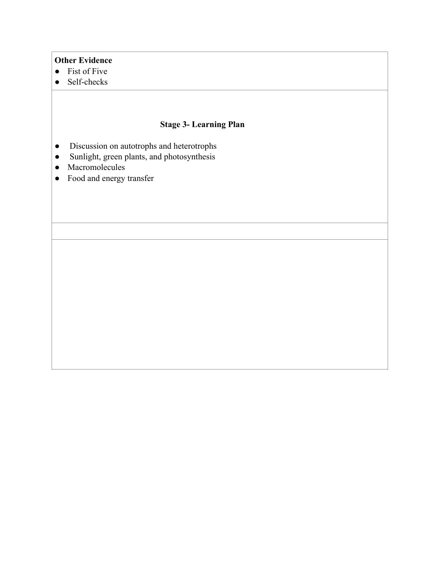#### **Other Evidence**

- Fist of Five
- Self-checks

- Discussion on autotrophs and heterotrophs
- Sunlight, green plants, and photosynthesis
- Macromolecules
- Food and energy transfer